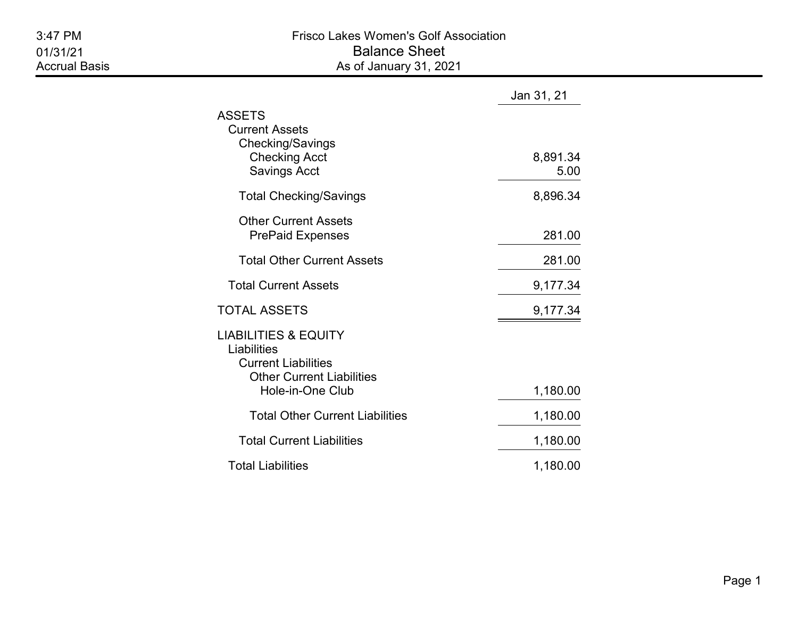|                                                                                                                                      | Jan 31, 21       |
|--------------------------------------------------------------------------------------------------------------------------------------|------------------|
| ASSETS<br><b>Current Assets</b><br>Checking/Savings<br><b>Checking Acct</b><br><b>Savings Acct</b>                                   | 8,891.34<br>5.00 |
| <b>Total Checking/Savings</b>                                                                                                        | 8,896.34         |
| <b>Other Current Assets</b><br><b>PrePaid Expenses</b>                                                                               | 281.00           |
| <b>Total Other Current Assets</b>                                                                                                    | 281.00           |
| <b>Total Current Assets</b>                                                                                                          | 9,177.34         |
| TOTAL ASSETS                                                                                                                         | 9,177.34         |
| <b>LIABILITIES &amp; EQUITY</b><br>Liabilities<br><b>Current Liabilities</b><br><b>Other Current Liabilities</b><br>Hole-in-One Club | 1,180.00         |
| <b>Total Other Current Liabilities</b>                                                                                               | 1,180.00         |
| <b>Total Current Liabilities</b>                                                                                                     | 1,180.00         |
| <b>Total Liabilities</b>                                                                                                             | 1,180.00         |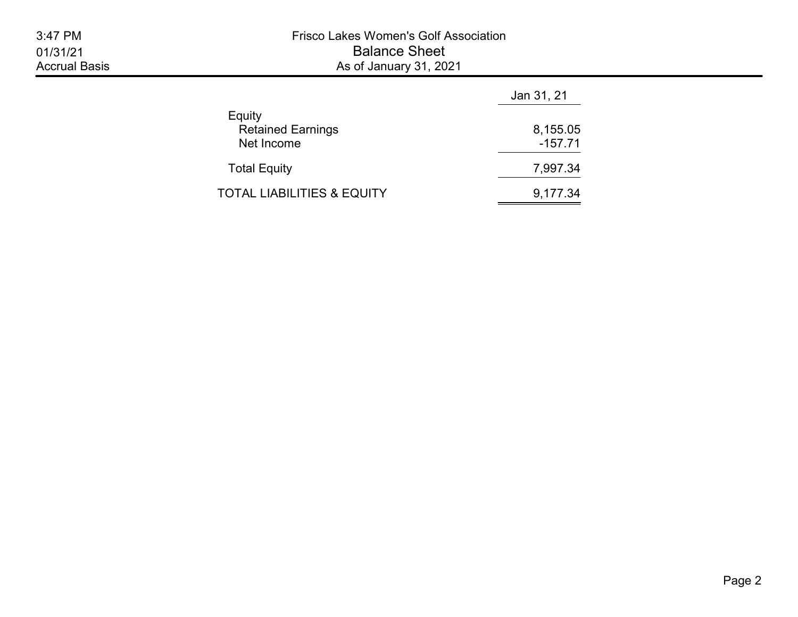|                                                  | Jan 31, 21            |  |  |
|--------------------------------------------------|-----------------------|--|--|
| Equity<br><b>Retained Earnings</b><br>Net Income | 8,155.05<br>$-157.71$ |  |  |
| <b>Total Equity</b>                              | 7,997.34              |  |  |
| TOTAL LIABILITIES & EQUITY                       | 9,177.34              |  |  |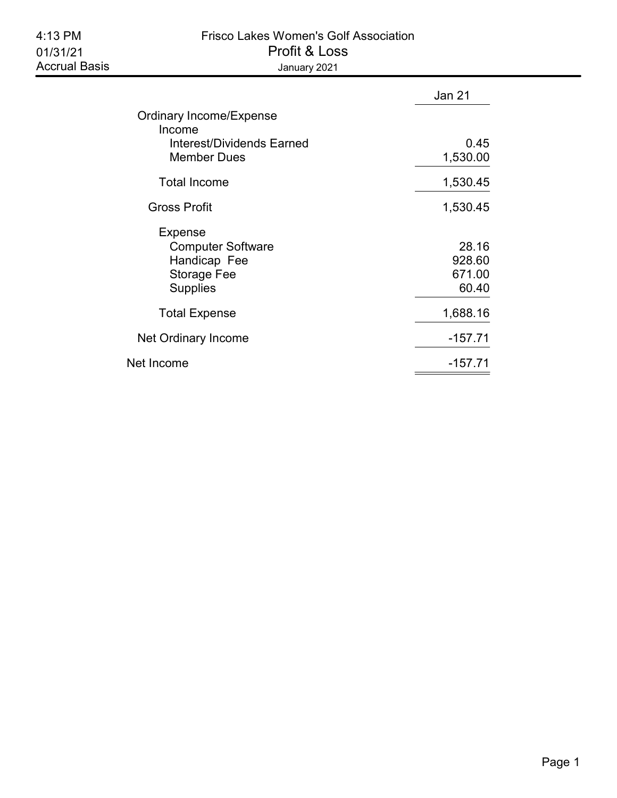## 4:13 PM Frisco Lakes Women's Golf Association 01/31/21 Profit & Loss Accrual Basis **Accrual Basis January 2021**

|                                                                                              | Jan 21                             |
|----------------------------------------------------------------------------------------------|------------------------------------|
| Ordinary Income/Expense<br>Income                                                            |                                    |
| Interest/Dividends Earned<br><b>Member Dues</b>                                              | 0.45<br>1,530.00                   |
| <b>Total Income</b>                                                                          | 1,530.45                           |
| <b>Gross Profit</b>                                                                          | 1,530.45                           |
| <b>Expense</b><br><b>Computer Software</b><br>Handicap Fee<br>Storage Fee<br><b>Supplies</b> | 28.16<br>928.60<br>671.00<br>60.40 |
| <b>Total Expense</b>                                                                         | 1,688.16                           |
| Net Ordinary Income                                                                          | $-157.71$                          |
| Net Income                                                                                   | $-157.71$                          |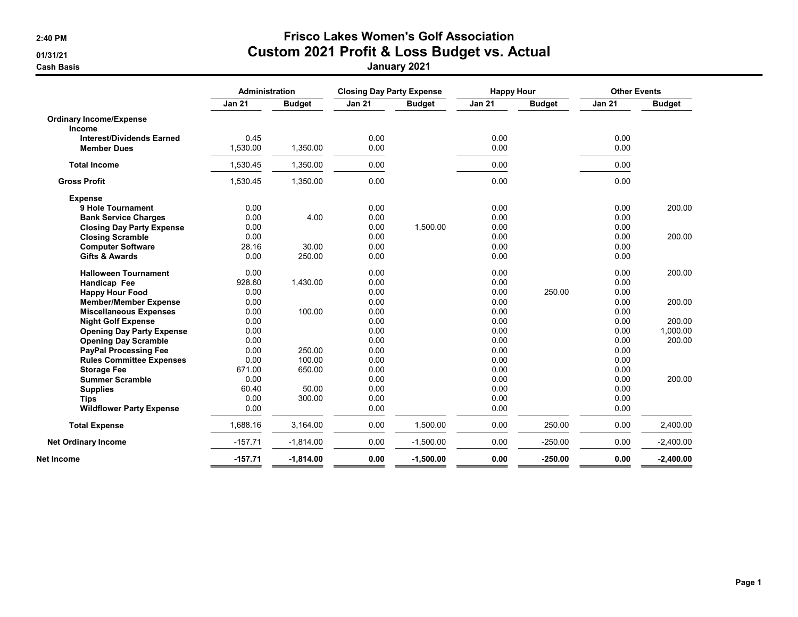## 2:40 PM Frisco Lakes Women's Golf Association 01/31/21 Custom 2021 Profit & Loss Budget vs. Actual

Cash Basis January 2021

|                                  | Administration |               |               | <b>Closing Day Party Expense</b> |               | <b>Happy Hour</b> |               | <b>Other Events</b> |  |
|----------------------------------|----------------|---------------|---------------|----------------------------------|---------------|-------------------|---------------|---------------------|--|
|                                  | <b>Jan 21</b>  | <b>Budget</b> | <b>Jan 21</b> | <b>Budget</b>                    | <b>Jan 21</b> | <b>Budget</b>     | <b>Jan 21</b> | <b>Budget</b>       |  |
| <b>Ordinary Income/Expense</b>   |                |               |               |                                  |               |                   |               |                     |  |
| <b>Income</b>                    |                |               |               |                                  |               |                   |               |                     |  |
| <b>Interest/Dividends Earned</b> | 0.45           |               | 0.00          |                                  | 0.00          |                   | 0.00          |                     |  |
| <b>Member Dues</b>               | 1,530.00       | 1,350.00      | 0.00          |                                  | 0.00          |                   | 0.00          |                     |  |
| <b>Total Income</b>              | 1,530.45       | 1,350.00      | 0.00          |                                  | 0.00          |                   | 0.00          |                     |  |
| <b>Gross Profit</b>              | 1,530.45       | 1,350.00      | 0.00          |                                  | 0.00          |                   | 0.00          |                     |  |
| <b>Expense</b>                   |                |               |               |                                  |               |                   |               |                     |  |
| 9 Hole Tournament                | 0.00           |               | 0.00          |                                  | 0.00          |                   | 0.00          | 200.00              |  |
| <b>Bank Service Charges</b>      | 0.00           | 4.00          | 0.00          |                                  | 0.00          |                   | 0.00          |                     |  |
| <b>Closing Day Party Expense</b> | 0.00           |               | 0.00          | 1,500.00                         | 0.00          |                   | 0.00          |                     |  |
| <b>Closing Scramble</b>          | 0.00           |               | 0.00          |                                  | 0.00          |                   | 0.00          | 200.00              |  |
| <b>Computer Software</b>         | 28.16          | 30.00         | 0.00          |                                  | 0.00          |                   | 0.00          |                     |  |
| <b>Gifts &amp; Awards</b>        | 0.00           | 250.00        | 0.00          |                                  | 0.00          |                   | 0.00          |                     |  |
| <b>Halloween Tournament</b>      | 0.00           |               | 0.00          |                                  | 0.00          |                   | 0.00          | 200.00              |  |
| Handicap Fee                     | 928.60         | 1,430.00      | 0.00          |                                  | 0.00          |                   | 0.00          |                     |  |
| <b>Happy Hour Food</b>           | 0.00           |               | 0.00          |                                  | 0.00          | 250.00            | 0.00          |                     |  |
| <b>Member/Member Expense</b>     | 0.00           |               | 0.00          |                                  | 0.00          |                   | 0.00          | 200.00              |  |
| <b>Miscellaneous Expenses</b>    | 0.00           | 100.00        | 0.00          |                                  | 0.00          |                   | 0.00          |                     |  |
| <b>Night Golf Expense</b>        | 0.00           |               | 0.00          |                                  | 0.00          |                   | 0.00          | 200.00              |  |
| <b>Opening Day Party Expense</b> | 0.00           |               | 0.00          |                                  | 0.00          |                   | 0.00          | 1.000.00            |  |
| <b>Opening Day Scramble</b>      | 0.00           |               | 0.00          |                                  | 0.00          |                   | 0.00          | 200.00              |  |
| <b>PayPal Processing Fee</b>     | 0.00           | 250.00        | 0.00          |                                  | 0.00          |                   | 0.00          |                     |  |
| <b>Rules Committee Expenses</b>  | 0.00           | 100.00        | 0.00          |                                  | 0.00          |                   | 0.00          |                     |  |
| <b>Storage Fee</b>               | 671.00         | 650.00        | 0.00          |                                  | 0.00          |                   | 0.00          |                     |  |
| <b>Summer Scramble</b>           | 0.00           |               | 0.00          |                                  | 0.00          |                   | 0.00          | 200.00              |  |
| <b>Supplies</b>                  | 60.40          | 50.00         | 0.00          |                                  | 0.00          |                   | 0.00          |                     |  |
| <b>Tips</b>                      | 0.00           | 300.00        | 0.00          |                                  | 0.00          |                   | 0.00          |                     |  |
| <b>Wildflower Party Expense</b>  | 0.00           |               | 0.00          |                                  | 0.00          |                   | 0.00          |                     |  |
| <b>Total Expense</b>             | 1,688.16       | 3.164.00      | 0.00          | 1.500.00                         | 0.00          | 250.00            | 0.00          | 2,400.00            |  |
| <b>Net Ordinary Income</b>       | $-157.71$      | $-1,814.00$   | 0.00          | $-1,500.00$                      | 0.00          | $-250.00$         | 0.00          | $-2,400.00$         |  |
| Net Income                       | $-157.71$      | $-1,814.00$   | 0.00          | $-1,500.00$                      | 0.00          | $-250.00$         | 0.00          | $-2,400.00$         |  |